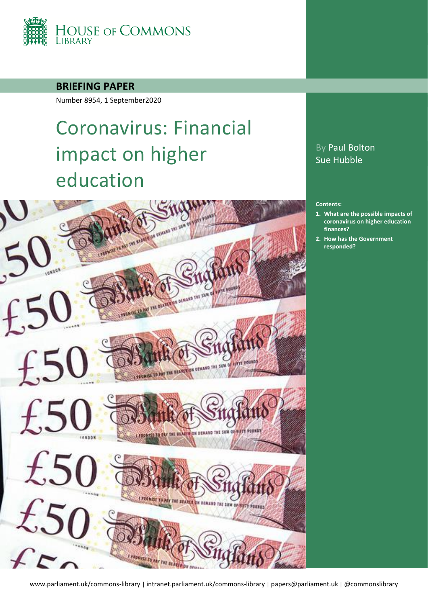

**BRIEFING PAPER**

Number 8954, 1 September2020

# Coronavirus: Financial impact on higher education



# By Paul Bolton Sue Hubble

#### **Contents:**

- **1. [What are the possible impacts of](#page-4-0)  [coronavirus on higher education](#page-4-0)  [finances?](#page-4-0)**
- **2. [How has the Government](#page-13-0)  [responded?](#page-13-0)**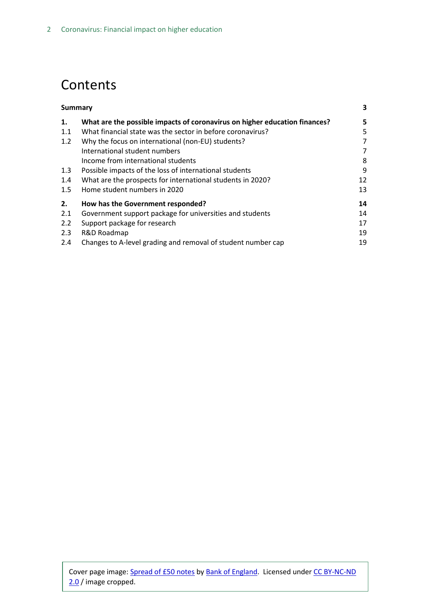# **Contents**

|     | Summary                                                                    |    |  |  |
|-----|----------------------------------------------------------------------------|----|--|--|
| 1.  | What are the possible impacts of coronavirus on higher education finances? | 5  |  |  |
| 1.1 | What financial state was the sector in before coronavirus?                 | 5  |  |  |
| 1.2 | Why the focus on international (non-EU) students?                          | 7  |  |  |
|     | International student numbers                                              |    |  |  |
|     | Income from international students                                         | 8  |  |  |
| 1.3 | Possible impacts of the loss of international students                     | 9  |  |  |
| 1.4 | What are the prospects for international students in 2020?                 | 12 |  |  |
| 1.5 | Home student numbers in 2020                                               | 13 |  |  |
| 2.  | How has the Government responded?                                          | 14 |  |  |
| 2.1 | Government support package for universities and students                   | 14 |  |  |
| 2.2 | Support package for research                                               | 17 |  |  |
| 2.3 | R&D Roadmap                                                                | 19 |  |  |
| 2.4 | Changes to A-level grading and removal of student number cap               | 19 |  |  |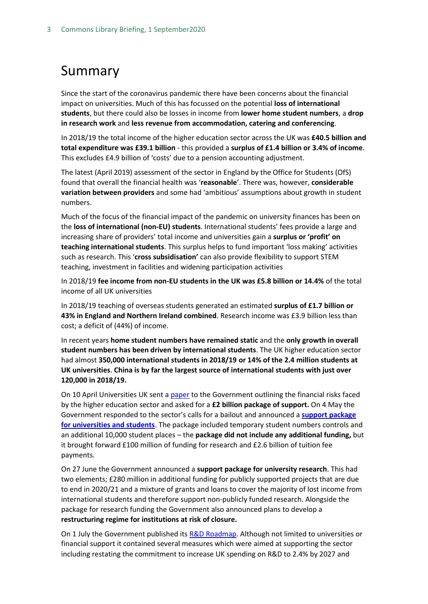# <span id="page-2-0"></span>Summary

Since the start of the coronavirus pandemic there have been concerns about the financial impact on universities. Much of this has focussed on the potential **loss of international students**, but there could also be losses in income from **lower home student numbers**, a **drop in research work** and **less revenue from accommodation, catering and conferencing**.

In 2018/19 the total income of the higher education sector across the UK was **£40.5 billion and total expenditure was £39.1 billion** - this provided a **surplus of £1.4 billion or 3.4% of income**. This excludes £4.9 billion of 'costs' due to a pension accounting adjustment.

The latest (April 2019) assessment of the sector in England by the Office for Students (OfS) found that overall the financial health was '**reasonable**'. There was, however, **considerable variation between providers** and some had 'ambitious' assumptions about growth in student numbers.

Much of the focus of the financial impact of the pandemic on university finances has been on the **loss of international (non-EU) students**. International students' fees provide a large and increasing share of providers' total income and universities gain a **surplus or 'profit' on teaching international students**. This surplus helps to fund important 'loss making' activities such as research. This '**cross subsidisation'** can also provide flexibility to support STEM teaching, investment in facilities and widening participation activities

In 2018/19 **fee income from non-EU students in the UK was £5.8 billion or 14.4%** of the total income of all UK universities

In 2018/19 teaching of overseas students generated an estimated **surplus of £1.7 billion or 43% in England and Northern Ireland combined**. Research income was £3.9 billion less than cost; a deficit of (44%) of income.

In recent years **home student numbers have remained static** and the **only growth in overall student numbers has been driven by international students**. The UK higher education sector had almost **350,000 international students in 2018/19 or 14% of the 2.4 million students at UK universities**. **China is by far the largest source of international students with just over 120,000 in 2018/19.**

On 10 April Universities UK sent [a paper](https://universitiesuk.ac.uk/news/Documents/uuk_achieving-stability-higher-education-april-2020.pdf) to the Government outlining the financial risks faced by the higher education sector and asked for a **£2 billion package of support.** On 4 May the Government responded to the sector's calls for a bailout and announced a **[support package](https://www.gov.uk/government/news/government-support-package-for-universities-and-students) [for universities and students](https://www.gov.uk/government/news/government-support-package-for-universities-and-students)**. The package included temporary student numbers controls and an additional 10,000 student places – the **package did not include any additional funding,** but it brought forward £100 million of funding for research and £2.6 billion of tuition fee payments.

On 27 June the Government announced a **support package for university research**. This had two elements; £280 million in additional funding for publicly supported projects that are due to end in 2020/21 and a mixture of grants and loans to cover the majority of lost income from international students and therefore support non-publicly funded research. Alongside the package for research funding the Government also announced plans to develop a **restructuring regime for institutions at risk of closure.**

On 1 July the Government published it[s R&D Roadmap.](https://www.gov.uk/government/news/government-fires-up-rd-across-the-country-to-cement-the-uk-as-science-superpower) Although not limited to universities or financial support it contained several measures which were aimed at supporting the sector including restating the commitment to increase UK spending on R&D to 2.4% by 2027 and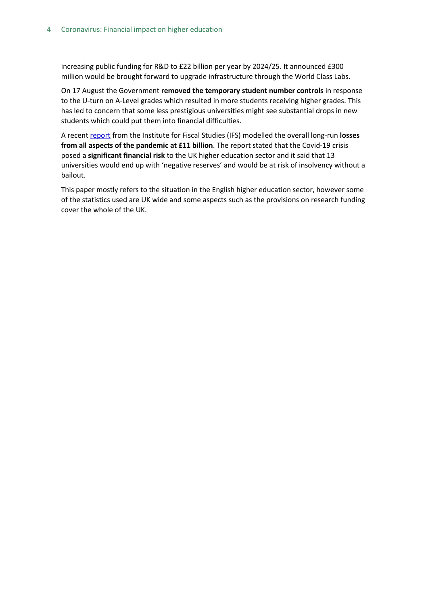increasing public funding for R&D to £22 billion per year by 2024/25. It announced £300 million would be brought forward to upgrade infrastructure through the World Class Labs.

On 17 August the Government **removed the temporary student number controls** in response to the U-turn on A-Level grades which resulted in more students receiving higher grades. This has led to concern that some less prestigious universities might see substantial drops in new students which could put them into financial difficulties.

A recent [report](https://www.ifs.org.uk/publications/14919) from the Institute for Fiscal Studies (IFS) modelled the overall long-run **losses from all aspects of the pandemic at £11 billion**. The report stated that the Covid-19 crisis posed a **significant financial risk** to the UK higher education sector and it said that 13 universities would end up with 'negative reserves' and would be at risk of insolvency without a bailout.

This paper mostly refers to the situation in the English higher education sector, however some of the statistics used are UK wide and some aspects such as the provisions on research funding cover the whole of the UK.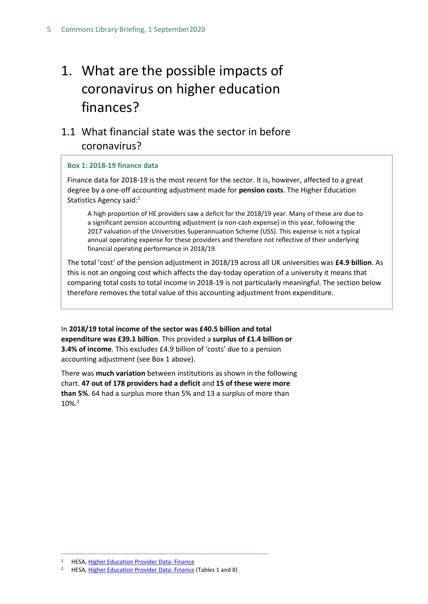# <span id="page-4-0"></span>1. What are the possible impacts of coronavirus on higher education finances?

# <span id="page-4-1"></span>1.1 What financial state was the sector in before coronavirus?

#### **Box 1: 2018-19 finance data**

Finance data for 2018-19 is the most recent for the sector. It is, however, affected to a great degree by a one-off accounting adjustment made for **pension costs**. The Higher Education Statistics Agency said:<sup>1</sup>

A high proportion of HE providers saw a deficit for the 2018/19 year. Many of these are due to a significant pension accounting adjustment (a non-cash expense) in this year, following the 2017 valuation of the Universities Superannuation Scheme (USS). This expense is not a typical annual operating expense for these providers and therefore not reflective of their underlying financial operating performance in 2018/19.

The total 'cost' of the pension adjustment in 2018/19 across all UK universities was **£4.9 billion**. As this is not an ongoing cost which affects the day-today operation of a university it means that comparing total costs to total income in 2018-19 is not particularly meaningful. The section below therefore removes the total value of this accounting adjustment from expenditure.

In **2018/19 total income of the sector was £40.5 billion and total expenditure was £39.1 billion**. This provided a **surplus of £1.4 billion or 3.4% of income**. This excludes £4.9 billion of 'costs' due to a pension accounting adjustment (see Box 1 above).

There was **much variation** between institutions as shown in the following chart. **47 out of 178 providers had a deficit** and **15 of these were more than 5%**. 64 had a surplus more than 5% and 13 a surplus of more than 10%.<sup>2</sup>

<sup>&</sup>lt;sup>1</sup> HESA, [Higher Education Provider Data: Finance](https://www.hesa.ac.uk/data-and-analysis/finances)

<sup>2</sup> HESA, [Higher Education Provider Data: Finance](https://www.hesa.ac.uk/data-and-analysis/finances) (Tables 1 and 8)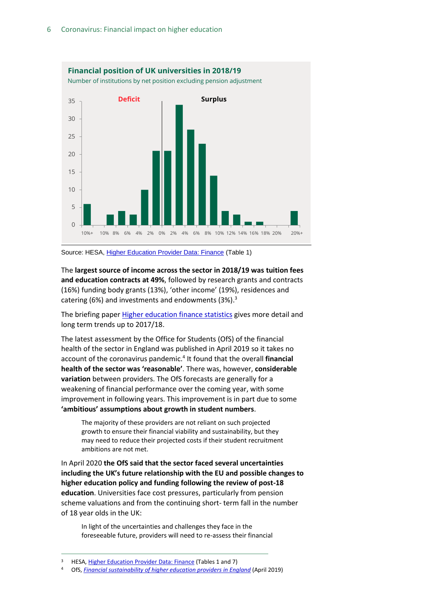

Source: HESA, [Higher Education Provider Data: Finance](https://www.hesa.ac.uk/data-and-analysis/finances) (Table 1)

The **largest source of income across the sector in 2018/19 was tuition fees and education contracts at 49%**, followed by research grants and contracts (16%) funding body grants (13%), 'other income' (19%), residences and catering (6%) and investments and endowments (3%). 3

The briefing pape[r Higher education finance statistics](https://commonslibrary.parliament.uk/research-briefings/sn05440/) gives more detail and long term trends up to 2017/18.

The latest assessment by the Office for Students (OfS) of the financial health of the sector in England was published in April 2019 so it takes no account of the coronavirus pandemic. 4 It found that the overall **financial health of the sector was 'reasonable'**. There was, however, **considerable variation** between providers. The OfS forecasts are generally for a weakening of financial performance over the coming year, with some improvement in following years. This improvement is in part due to some **'ambitious' assumptions about growth in student numbers**.

The majority of these providers are not reliant on such projected growth to ensure their financial viability and sustainability, but they may need to reduce their projected costs if their student recruitment ambitions are not met.

In April 2020 **the OfS said that the sector faced several uncertainties including the UK's future relationship with the EU and possible changes to higher education policy and funding following the review of post-18 education**. Universities face cost pressures, particularly from pension scheme valuations and from the continuing short- term fall in the number of 18 year olds in the UK:

In light of the uncertainties and challenges they face in the foreseeable future, providers will need to re-assess their financial

<sup>3</sup> HESA, [Higher Education Provider Data: Finance](https://www.hesa.ac.uk/data-and-analysis/finances) (Tables 1 and 7)

<sup>4</sup> OfS, *[Financial sustainability of higher education providers in England](https://www.officeforstudents.org.uk/publications/financial-sustainability-of-higher-education-providers-in-england/)* (April 2019)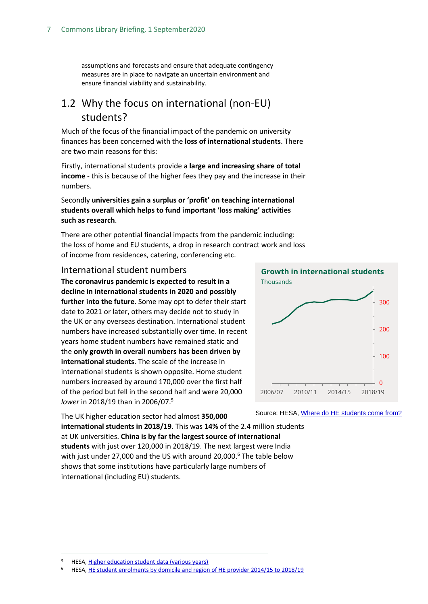assumptions and forecasts and ensure that adequate contingency measures are in place to navigate an uncertain environment and ensure financial viability and sustainability.

## <span id="page-6-0"></span>1.2 Why the focus on international (non-EU) students?

Much of the focus of the financial impact of the pandemic on university finances has been concerned with the **loss of international students**. There are two main reasons for this:

Firstly, international students provide a **large and increasing share of total income** - this is because of the higher fees they pay and the increase in their numbers.

### Secondly **universities gain a surplus or 'profit' on teaching international students overall which helps to fund important 'loss making' activities such as research**.

There are other potential financial impacts from the pandemic including: the loss of home and EU students, a drop in research contract work and loss of income from residences, catering, conferencing etc.

### <span id="page-6-1"></span>International student numbers

**The coronavirus pandemic is expected to result in a decline in international students in 2020 and possibly**

**further into the future**. Some may opt to defer their start date to 2021 or later, others may decide not to study in the UK or any overseas destination. International student numbers have increased substantially over time. In recent years home student numbers have remained static and the **only growth in overall numbers has been driven by international students**. The scale of the increase in international students is shown opposite. Home student numbers increased by around 170,000 over the first half of the period but fell in the second half and were 20,000 *lower* in 2018/19 than in 2006/07. 5

The UK higher education sector had almost **350,000** 



Source: HESA[, Where do HE students come from?](https://www.hesa.ac.uk/data-and-analysis/students/where-from)

**international students in 2018/19**. This was **14%** of the 2.4 million students at UK universities. **China is by far the largest source of international students** with just over 120,000 in 2018/19. The next largest were India with just under 27,000 and the US with around 20,000.<sup>6</sup> The table below shows that some institutions have particularly large numbers of international (including EU) students.

<sup>5</sup> HESA, [Higher education student data \(various years\)](https://www.hesa.ac.uk/data-and-analysis/students)

<sup>6</sup> HESA, [HE student enrolments by domicile and region of HE provider 2014/15 to 2018/19](https://www.hesa.ac.uk/data-and-analysis/students/table-11)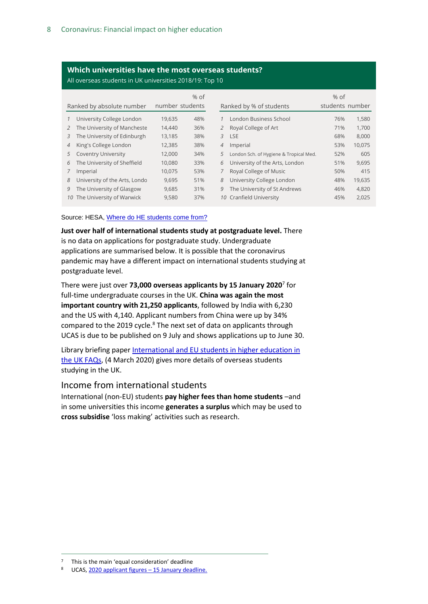### **Which universities have the most overseas students?**

All overseas students in UK universities 2018/19: Top 10

|                           |                                 |        | $%$ of          |                |                                        | $%$ of          |        |
|---------------------------|---------------------------------|--------|-----------------|----------------|----------------------------------------|-----------------|--------|
| Ranked by absolute number |                                 |        | number students |                | Ranked by % of students                | students number |        |
|                           | 1 University College London     | 19.635 | 48%             |                | London Business School                 | 76%             | 1,580  |
|                           | 2 The University of Mancheste   | 14,440 | 36%             | $\overline{2}$ | Royal College of Art                   | 71%             | 1,700  |
|                           | 3 The University of Edinburgh   | 13,185 | 38%             | 3              | <b>LSE</b>                             | 68%             | 8,000  |
|                           | 4 King's College London         | 12,385 | 38%             | $\overline{4}$ | Imperial                               | 53%             | 10,075 |
|                           | 5 Coventry University           | 12,000 | 34%             | 5              | London Sch. of Hygiene & Tropical Med. | 52%             | 605    |
|                           | 6 The University of Sheffield   | 10,080 | 33%             | 6              | University of the Arts, London         | 51%             | 9,695  |
| $\overline{7}$            | Imperial                        | 10.075 | 53%             |                | Royal College of Music                 | 50%             | 415    |
|                           | 8 University of the Arts, Londo | 9,695  | 51%             | 8              | University College London              | 48%             | 19,635 |
|                           | 9 The University of Glasgow     | 9,685  | 31%             | 9              | The University of St Andrews           | 46%             | 4,820  |
|                           | 10 The University of Warwick    | 9,580  | 37%             |                | 10 Cranfield University                | 45%             | 2,025  |

Source: HESA, [Where do HE students come from?](https://www.hesa.ac.uk/data-and-analysis/students/where-from)

**Just over half of international students study at postgraduate level.** There is no data on applications for postgraduate study. Undergraduate applications are summarised below. It is possible that the coronavirus pandemic may have a different impact on international students studying at postgraduate level.

There were just over **73,000 overseas applicants by 15 January 2020**<sup>7</sup> for full-time undergraduate courses in the UK. **China was again the most important country with 21,250 applicants**, followed by India with 6,230 and the US with 4,140. Applicant numbers from China were up by 34% compared to the 2019 cycle.<sup>8</sup> The next set of data on applicants through UCAS is due to be published on 9 July and shows applications up to June 30.

Library briefing paper [International and EU students in higher education in](https://researchbriefings.files.parliament.uk/documents/CBP-7976/CBP-7976.pdf)  [the UK FAQs,](https://researchbriefings.files.parliament.uk/documents/CBP-7976/CBP-7976.pdf) (4 March 2020) gives more details of overseas students studying in the UK.

### <span id="page-7-0"></span>Income from international students

International (non-EU) students **pay higher fees than home students** –and in some universities this income **generates a surplus** which may be used to **cross subsidise** 'loss making' activities such as research.

<sup>7</sup> This is the main 'equal consideration' deadline

<sup>8</sup> UCAS[, 2020 applicant figures](https://www.ucas.com/data-and-analysis/undergraduate-statistics-and-reports/ucas-undergraduate-releases/applicant-releases-2020/2020-cycle-applicant-figures-15-january-deadline) – 15 January deadline.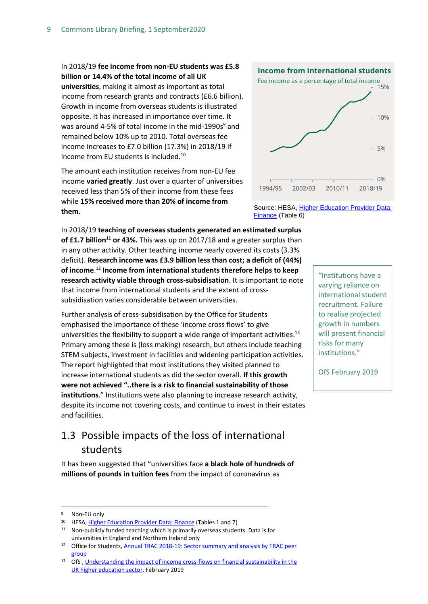## In 2018/19 **fee income from non-EU students was £5.8 billion or 14.4% of the total income of all UK universities**, making it almost as important as total income from research grants and contracts (£6.6 billion). Growth in income from overseas students is illustrated opposite. It has increased in importance over time. It was around 4-5% of total income in the mid-1990s $9$  and

remained below 10% up to 2010. Total overseas fee income increases to £7.0 billion (17.3%) in 2018/19 if

income from EU students is included.<sup>10</sup>

The amount each institution receives from non-EU fee income **varied greatly**. Just over a quarter of universities received less than 5% of their income from these fees while **15% received more than 20% of income from them**.

In 2018/19 **teaching of overseas students generated an estimated surplus of £1.7 billion<sup>11</sup> or 43%.** This was up on 2017/18 and a greater surplus than in any other activity. Other teaching income nearly covered its costs (3.3% deficit). **Research income was £3.9 billion less than cost; a deficit of (44%) of income**. <sup>12</sup> **Income from international students therefore helps to keep research activity viable through cross-subsidisation**. It is important to note that income from international students and the extent of crosssubsidisation varies considerable between universities.

Further analysis of cross-subsidisation by the Office for Students emphasised the importance of these 'income cross flows' to give universities the flexibility to support a wide range of important activities.<sup>13</sup> Primary among these is (loss making) research, but others include teaching STEM subjects, investment in facilities and widening participation activities. The report highlighted that most institutions they visited planned to increase international students as did the sector overall. **If this growth were not achieved "..there is a risk to financial sustainability of those institutions**." Institutions were also planning to increase research activity, despite its income not covering costs, and continue to invest in their estates and facilities.

# <span id="page-8-0"></span>1.3 Possible impacts of the loss of international students

It has been suggested that "universities face **a black hole of hundreds of millions of pounds in tuition fees** from the impact of coronavirus as





Source: HESA, Higher Education Provider Data: [Finance](https://www.hesa.ac.uk/data-and-analysis/finances) (Table 6)

> "Institutions have a varying reliance on international student recruitment. Failure to realise projected growth in numbers will present financial risks for many institutions."

OfS February 2019

Non-EU only

<sup>10</sup> HESA, [Higher Education Provider Data: Finance](https://www.hesa.ac.uk/data-and-analysis/finances) (Tables 1 and 7)

 $11$  Non-publicly funded teaching which is primarily overseas students. Data is for universities in England and Northern Ireland only

<sup>12</sup> Office for Students, Annual TRAC 2018-19: Sector summary and analysis by TRAC peer [group](https://www.officeforstudents.org.uk/publications/annual-trac-2018-19/)

<sup>13</sup> OfS, Understanding the impact of income cross-flows on financial sustainability in the [UK higher education sector,](https://www.officeforstudents.org.uk/media/2afa9afa-063c-4327-88d3-c2350b10f8d6/fssg-understanding-income-cross-flows.pdf) February 2019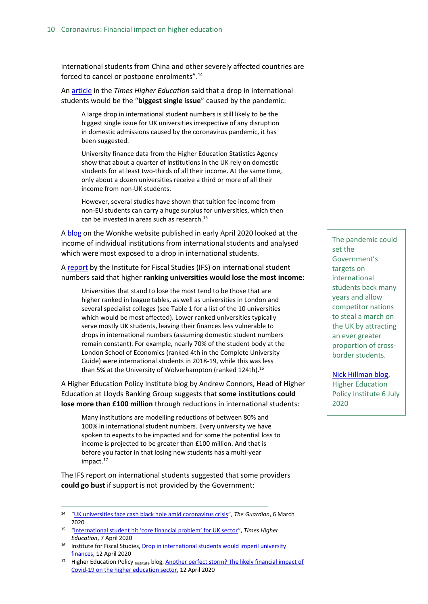international students from China and other severely affected countries are forced to cancel or postpone enrolments". 14

A[n article](file://///hpap03f/DIS_Rdf$/hubbles/Desktop/International%20student%20hit%20‘core%20financial%20problem’%20for%20UK%20sector) in the *Times Higher Education* said that a drop in international students would be the "**biggest single issue**" caused by the pandemic:

A large drop in international student numbers is still likely to be the biggest single issue for UK universities irrespective of any disruption in domestic admissions caused by the coronavirus pandemic, it has been suggested.

University finance data from the Higher Education Statistics Agency show that about a quarter of institutions in the UK rely on domestic students for at least two-thirds of all their income. At the same time, only about a dozen universities receive a third or more of all their income from non-UK students.

However, several studies have shown that tuition fee income from non-EU students can carry a huge surplus for universities, which then can be invested in areas such as research.<sup>15</sup>

A [blog](https://wonkhe.com/blogs/which-providers-are-exposed-to-a-downturn-in-international-recruitment/) on the Wonkhe website published in early April 2020 looked at the income of individual institutions from international students and analysed which were most exposed to a drop in international students.

A [report](https://www.ifs.org.uk/publications/14805?utm_source=R%26I+%28business+communications%29&utm_campaign=a3c3aa5e92-EMAIL_CAMPAIGN_2019_10_01_02_11_COPY_100&utm_medium=email&utm_term=0_4957411bec-a3c3aa5e92-102480221&mc_cid=a3c3aa5e92&mc_eid=ced9d455a1) by the Institute for Fiscal Studies (IFS) on international student numbers said that higher **ranking universities would lose the most income**:

Universities that stand to lose the most tend to be those that are higher ranked in league tables, as well as universities in London and several specialist colleges (see Table 1 for a list of the 10 universities which would be most affected). Lower ranked universities typically serve mostly UK students, leaving their finances less vulnerable to drops in international numbers (assuming domestic student numbers remain constant). For example, nearly 70% of the student body at the London School of Economics (ranked 4th in the Complete University Guide) were international students in 2018-19, while this was less than 5% at the University of Wolverhampton (ranked 124th).  $^{16}$ 

A Higher Education Policy Institute blog by Andrew Connors, Head of Higher Education at Lloyds Banking Group suggests that **some institutions could lose more than £100 million** through reductions in international students:

Many institutions are modelling reductions of between 80% and 100% in international student numbers. Every university we have spoken to expects to be impacted and for some the potential loss to income is projected to be greater than £100 million. And that is before you factor in that losing new students has a multi-year impact.<sup>17</sup>

The IFS report on international students suggested that some providers **could go bust** if support is not provided by the Government:

- <sup>15</sup> ["International student hit 'core financial problem' for UK sector"](file://///hpap03f/DIS_Rdf$/hubbles/Desktop/International%20student%20hit%20‘core%20financial%20problem’%20for%20UK%20sector), *Times Higher Education*, 7 April 2020
- <sup>16</sup> Institute for Fiscal Studies[, Drop in international students would imperil university](https://www.ifs.org.uk/publications/14805?utm_source=R%26I+%28business+communications%29&utm_campaign=a3c3aa5e92-EMAIL_CAMPAIGN_2019_10_01_02_11_COPY_100&utm_medium=email&utm_term=0_4957411bec-a3c3aa5e92-102480221&mc_cid=a3c3aa5e92&mc_eid=ced9d455a1)  [finances,](https://www.ifs.org.uk/publications/14805?utm_source=R%26I+%28business+communications%29&utm_campaign=a3c3aa5e92-EMAIL_CAMPAIGN_2019_10_01_02_11_COPY_100&utm_medium=email&utm_term=0_4957411bec-a3c3aa5e92-102480221&mc_cid=a3c3aa5e92&mc_eid=ced9d455a1) 12 April 2020

The pandemic could set the Government's targets on international students back many years and allow competitor nations to steal a march on the UK by attracting an ever greater proportion of crossborder students.

[Nick Hillman blog,](https://www.hepi.ac.uk/2020/07/06/how-to-recruit-international-students-in-2020-communicate-communicate-communicate/?utm_source=R%26I+%28business+communications%29&utm_campaign=bdc0940bd2-Current_Awareness_Social_Policy_I_06-07-2020&utm_medium=email&utm_term=0_4957411bec-bdc0940bd2-102480221&mc_cid=bdc0940bd2&mc_eid=ced9d455a1) Higher Education Policy Institute 6 July 2020

<sup>14</sup> "[UK universities face cash black hole amid coronavirus crisis](https://www.theguardian.com/education/2020/mar/06/uk-universities-face-cash-black-hole-coronavirus-crisis)", *The Guardian*, 6 March 2020

<sup>&</sup>lt;sup>17</sup> Higher Education Policy <sub>Institute</sub> blog, **Another perfect storm?** The likely financial impact of [Covid-19 on the higher education sector,](https://www.hepi.ac.uk/2020/04/12/another-perfect-storm-the-likely-financial-impact-of-covid-19-on-the-higher-education-sector-by-andrew-connors-the-head-of-higher-education-at-lloyds-bank/) 12 April 2020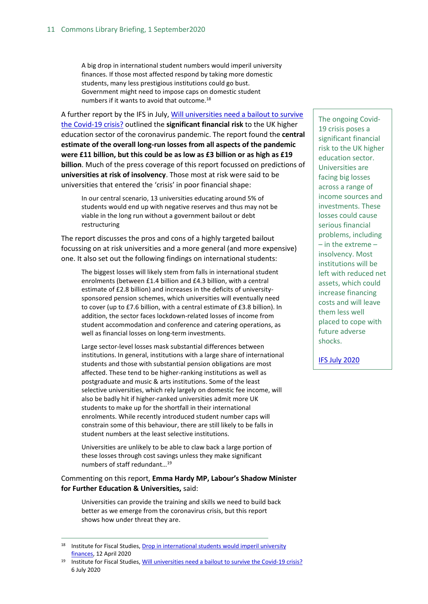A big drop in international student numbers would imperil university finances. If those most affected respond by taking more domestic students, many less prestigious institutions could go bust. Government might need to impose caps on domestic student numbers if it wants to avoid that outcome.<sup>18</sup>

A further report by the IFS in July, [Will universities need a bailout to survive](https://www.ifs.org.uk/publications/14919)  [the Covid-19 crisis?](https://www.ifs.org.uk/publications/14919) outlined the **significant financial risk** to the UK higher education sector of the coronavirus pandemic. The report found the **central estimate of the overall long-run losses from all aspects of the pandemic were £11 billion, but this could be as low as £3 billion or as high as £19 billion**. Much of the press coverage of this report focussed on predictions of **universities at risk of insolvency**. Those most at risk were said to be universities that entered the 'crisis' in poor financial shape:

In our central scenario, 13 universities educating around 5% of students would end up with negative reserves and thus may not be viable in the long run without a government bailout or debt restructuring

The report discusses the pros and cons of a highly targeted bailout focussing on at risk universities and a more general (and more expensive) one. It also set out the following findings on international students:

The biggest losses will likely stem from falls in international student enrolments (between £1.4 billion and £4.3 billion, with a central estimate of £2.8 billion) and increases in the deficits of universitysponsored pension schemes, which universities will eventually need to cover (up to £7.6 billion, with a central estimate of £3.8 billion). In addition, the sector faces lockdown-related losses of income from student accommodation and conference and catering operations, as well as financial losses on long-term investments.

Large sector-level losses mask substantial differences between institutions. In general, institutions with a large share of international students and those with substantial pension obligations are most affected. These tend to be higher-ranking institutions as well as postgraduate and music & arts institutions. Some of the least selective universities, which rely largely on domestic fee income, will also be badly hit if higher-ranked universities admit more UK students to make up for the shortfall in their international enrolments. While recently introduced student number caps will constrain some of this behaviour, there are still likely to be falls in student numbers at the least selective institutions.

Universities are unlikely to be able to claw back a large portion of these losses through cost savings unless they make significant numbers of staff redundant…<sup>19</sup>

Commenting on this report, **Emma Hardy MP, Labour's Shadow Minister for Further Education & Universities,** said:

Universities can provide the training and skills we need to build back better as we emerge from the coronavirus crisis, but this report shows how under threat they are.

The ongoing Covid-19 crisis poses a significant financial risk to the UK higher education sector. Universities are facing big losses across a range of income sources and investments. These losses could cause serious financial problems, including – in the extreme – insolvency. Most institutions will be left with reduced net assets, which could increase financing costs and will leave them less well placed to cope with future adverse shocks.

[IFS July 2020](https://www.ifs.org.uk/publications/14919)

<sup>18</sup> Institute for Fiscal Studies[, Drop in international students would imperil university](https://www.ifs.org.uk/publications/14805?utm_source=R%26I+%28business+communications%29&utm_campaign=a3c3aa5e92-EMAIL_CAMPAIGN_2019_10_01_02_11_COPY_100&utm_medium=email&utm_term=0_4957411bec-a3c3aa5e92-102480221&mc_cid=a3c3aa5e92&mc_eid=ced9d455a1)  [finances,](https://www.ifs.org.uk/publications/14805?utm_source=R%26I+%28business+communications%29&utm_campaign=a3c3aa5e92-EMAIL_CAMPAIGN_2019_10_01_02_11_COPY_100&utm_medium=email&utm_term=0_4957411bec-a3c3aa5e92-102480221&mc_cid=a3c3aa5e92&mc_eid=ced9d455a1) 12 April 2020

<sup>19</sup> Institute for Fiscal Studies[, Will universities need a bailout to survive the Covid-19 crisis?](https://www.ifs.org.uk/publications/14919) 6 July 2020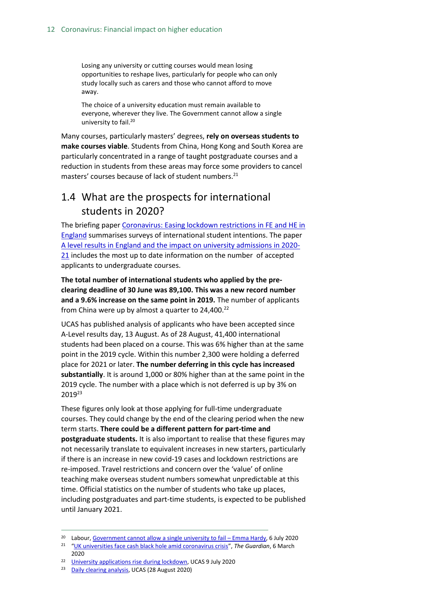Losing any university or cutting courses would mean losing opportunities to reshape lives, particularly for people who can only study locally such as carers and those who cannot afford to move away.

The choice of a university education must remain available to everyone, wherever they live. The Government cannot allow a single university to fail.<sup>20</sup>

Many courses, particularly masters' degrees, **rely on overseas students to make courses viable**. Students from China, Hong Kong and South Korea are particularly concentrated in a range of taught postgraduate courses and a reduction in students from these areas may force some providers to cancel masters' courses because of lack of student numbers.<sup>21</sup>

# <span id="page-11-0"></span>1.4 What are the prospects for international students in 2020?

The briefing pape[r Coronavirus: Easing lockdown restrictions in FE and HE in](https://commonslibrary.parliament.uk/research-briefings/cbp-8932/)  [England](https://commonslibrary.parliament.uk/research-briefings/cbp-8932/) summarises surveys of international student intentions. The paper [A level results in England and the impact on university admissions in 2020-](https://commonslibrary.parliament.uk/research-briefings/cbp-8989/) [21](https://commonslibrary.parliament.uk/research-briefings/cbp-8989/) includes the most up to date information on the number of accepted applicants to undergraduate courses.

**The total number of international students who applied by the preclearing deadline of 30 June was 89,100. This was a new record number and a 9.6% increase on the same point in 2019.** The number of applicants from China were up by almost a quarter to 24,400.<sup>22</sup>

UCAS has published analysis of applicants who have been accepted since A-Level results day, 13 August. As of 28 August, 41,400 international students had been placed on a course. This was 6% higher than at the same point in the 2019 cycle. Within this number 2,300 were holding a deferred place for 2021 or later. **The number deferring in this cycle has increased substantially**. It is around 1,000 or 80% higher than at the same point in the 2019 cycle. The number with a place which is not deferred is up by 3% on 2019<sup>23</sup>

These figures only look at those applying for full-time undergraduate courses. They could change by the end of the clearing period when the new term starts. **There could be a different pattern for part-time and postgraduate students.** It is also important to realise that these figures may not necessarily translate to equivalent increases in new starters, particularly if there is an increase in new covid-19 cases and lockdown restrictions are re-imposed. Travel restrictions and concern over the 'value' of online teaching make overseas student numbers somewhat unpredictable at this time. Official statistics on the number of students who take up places, including postgraduates and part-time students, is expected to be published until January 2021.

<sup>&</sup>lt;sup>20</sup> Labour, [Government cannot allow a single university to fail](https://labour.org.uk/press/government-cannot-allow-a-single-university-to-fail-emma-hardy/) – Emma Hardy, 6 July 2020

<sup>21</sup> "[UK universities face cash black hole amid coronavirus crisis](https://www.theguardian.com/education/2020/mar/06/uk-universities-face-cash-black-hole-coronavirus-crisis)", *The Guardian*, 6 March 2020

<sup>22</sup> [University applications rise during lockdown,](https://www.ucas.com/corporate/news-and-key-documents/news/university-applications-rise-during-lockdown) UCAS 9 July 2020

<sup>23</sup> [Daily clearing analysis,](https://www.ucas.com/data-and-analysis/undergraduate-statistics-and-reports/statistical-releases-daily-clearing-analysis-2020) UCAS (28 August 2020)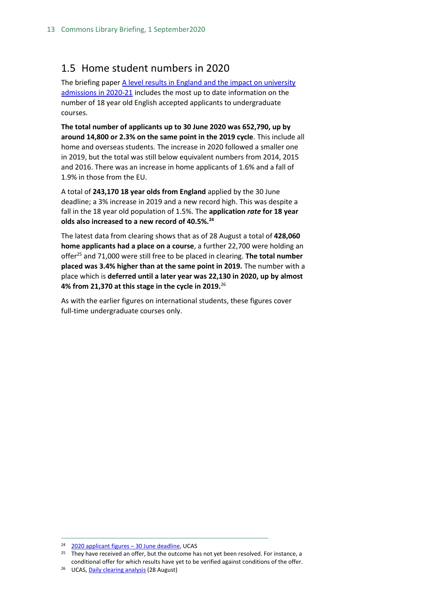# <span id="page-12-0"></span>1.5 Home student numbers in 2020

The briefing paper A level results in England and the impact on university [admissions in 2020-21](https://commonslibrary.parliament.uk/research-briefings/cbp-8989/) includes the most up to date information on the number of 18 year old English accepted applicants to undergraduate courses.

**The total number of applicants up to 30 June 2020 was 652,790, up by around 14,800 or 2.3% on the same point in the 2019 cycle**. This include all home and overseas students. The increase in 2020 followed a smaller one in 2019, but the total was still below equivalent numbers from 2014, 2015 and 2016. There was an increase in home applicants of 1.6% and a fall of 1.9% in those from the EU.

A total of **243,170 18 year olds from England** applied by the 30 June deadline; a 3% increase in 2019 and a new record high. This was despite a fall in the 18 year old population of 1.5%. The **application** *rate* **for 18 year olds also increased to a new record of 40.5%.<sup>24</sup>**

The latest data from clearing shows that as of 28 August a total of **428,060 home applicants had a place on a course**, a further 22,700 were holding an offer<sup>25</sup> and 71,000 were still free to be placed in clearing. **The total number placed was 3.4% higher than at the same point in 2019.** The number with a place which is **deferred until a later year was 22,130 in 2020, up by almost 4% from 21,370 at this stage in the cycle in 2019.**<sup>26</sup>

As with the earlier figures on international students, these figures cover full-time undergraduate courses only.

<sup>24</sup> [2020 applicant figures](https://www.ucas.com/data-and-analysis/undergraduate-statistics-and-reports/ucas-undergraduate-releases/applicant-releases-2020/2020-cycle-applicant-figures-30-june-deadline) – 30 June deadline, UCAS

<sup>&</sup>lt;sup>25</sup> They have received an offer, but the outcome has not yet been resolved. For instance, a conditional offer for which results have yet to be verified against conditions of the offer.

<sup>26</sup> UCAS[, Daily clearing analysis](https://www.ucas.com/data-and-analysis/undergraduate-statistics-and-reports/statistical-releases-daily-clearing-analysis-2020) (28 August)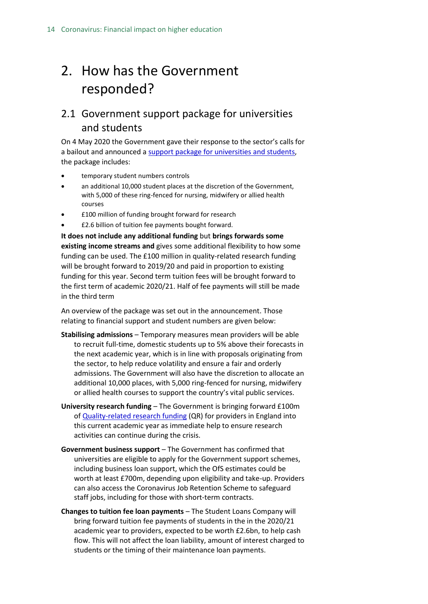# <span id="page-13-0"></span>2. How has the Government responded?

# <span id="page-13-1"></span>2.1 Government support package for universities and students

On 4 May 2020 the Government gave their response to the sector's calls for a bailout and announced a [support package for universities and students,](https://www.gov.uk/government/news/government-support-package-for-universities-and-students) the package includes:

- temporary student numbers controls
- an additional 10,000 student places at the discretion of the Government, with 5,000 of these ring-fenced for nursing, midwifery or allied health courses
- £100 million of funding brought forward for research
- £2.6 billion of tuition fee payments bought forward.

**It does not include any additional funding** but **brings forwards some existing income streams and** gives some additional flexibility to how some funding can be used. The £100 million in quality-related research funding will be brought forward to 2019/20 and paid in proportion to existing funding for this year. Second term tuition fees will be brought forward to the first term of academic 2020/21. Half of fee payments will still be made in the third term

An overview of the package was set out in the announcement. Those relating to financial support and student numbers are given below:

- **Stabilising admissions** Temporary measures mean providers will be able to recruit full-time, domestic students up to 5% above their forecasts in the next academic year, which is in line with proposals originating from the sector, to help reduce volatility and ensure a fair and orderly admissions. The Government will also have the discretion to allocate an additional 10,000 places, with 5,000 ring-fenced for nursing, midwifery or allied health courses to support the country's vital public services.
- **University research funding** The Government is bringing forward £100m o[f Quality-related research funding](https://re.ukri.org/funding/quality-related-research-funding/) (QR) for providers in England into this current academic year as immediate help to ensure research activities can continue during the crisis.
- **Government business support** The Government has confirmed that universities are eligible to apply for the Government support schemes, including business loan support, which the OfS estimates could be worth at least £700m, depending upon eligibility and take-up. Providers can also access the Coronavirus Job Retention Scheme to safeguard staff jobs, including for those with short-term contracts.
- **Changes to tuition fee loan payments** The Student Loans Company will bring forward tuition fee payments of students in the in the 2020/21 academic year to providers, expected to be worth £2.6bn, to help cash flow. This will not affect the loan liability, amount of interest charged to students or the timing of their maintenance loan payments.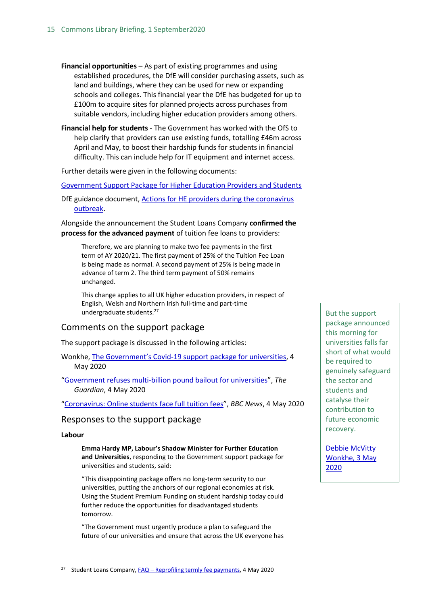- **Financial opportunities** As part of existing programmes and using established procedures, the DfE will consider purchasing assets, such as land and buildings, where they can be used for new or expanding schools and colleges. This financial year the DfE has budgeted for up to £100m to acquire sites for planned projects across purchases from suitable vendors, including higher education providers among others.
- **Financial help for students** The Government has worked with the OfS to help clarify that providers can use existing funds, totalling £46m across April and May, to boost their hardship funds for students in financial difficulty. This can include help for IT equipment and internet access.

Further details were given in the following documents:

[Government Support Package for Higher Education Providers and Students](https://assets.publishing.service.gov.uk/government/uploads/system/uploads/attachment_data/file/882884/Government_support_package_for_higher_education_providers_and_students.pdf)

DfE guidance document, [Actions for HE providers during the coronavirus](https://www.gov.uk/government/publications/actions-for-he-providers-during-the-coronavirus-outbreak?utm_source=R%26I+%28business+communications%29&utm_campaign=0117fd8e4c-EMAIL_CAMPAIGN_2019_10_01_02_11_COPY_127&utm_medium=email&utm_term=0_4957411bec-0117fd8e4c-102480221&mc_cid=0117fd8e4c&mc_eid=ced9d455a1) [outbreak.](https://www.gov.uk/government/publications/actions-for-he-providers-during-the-coronavirus-outbreak?utm_source=R%26I+%28business+communications%29&utm_campaign=0117fd8e4c-EMAIL_CAMPAIGN_2019_10_01_02_11_COPY_127&utm_medium=email&utm_term=0_4957411bec-0117fd8e4c-102480221&mc_cid=0117fd8e4c&mc_eid=ced9d455a1)

Alongside the announcement the Student Loans Company **confirmed the process for the advanced payment** of tuition fee loans to providers:

Therefore, we are planning to make two fee payments in the first term of AY 2020/21. The first payment of 25% of the Tuition Fee Loan is being made as normal. A second payment of 25% is being made in advance of term 2. The third term payment of 50% remains unchanged.

This change applies to all UK higher education providers, in respect of English, Welsh and Northern Irish full-time and part-time undergraduate students.<sup>27</sup>

## Comments on the support package

The support package is discussed in the following articles:

Wonkhe, The Government's Covid[-19 support package for universities,](https://protect-eu.mimecast.com/s/qN69C1WJ8FXnyD3TY4UeyI?domain=parliament.us16.list-manage.com) 4 May 2020

"[Government refuses multi-billion pound bailout for universities](https://www.theguardian.com/education/2020/may/04/government-refuses-multi-billion-pound-bailout-for-universities?utm_source=R%26I+%28business+communications%29&utm_campaign=2cb94e889e-EMAIL_CAMPAIGN_2019_10_01_02_11_COPY_125&utm_medium=email&utm_term=0_4957411bec-2cb94e889e-102480221&mc_cid=2cb94e889e&mc_eid=ced9d455a1)", *The Guardian*, 4 May 2020

"[Coronavirus: Online students face full tuition fees](https://www.bbc.co.uk/news/education-52506283?utm_source=R%26I+%28business+communications%29&utm_campaign=2cb94e889e-EMAIL_CAMPAIGN_2019_10_01_02_11_COPY_125&utm_medium=email&utm_term=0_4957411bec-2cb94e889e-102480221&mc_cid=2cb94e889e&mc_eid=ced9d455a1)", *BBC News*, 4 May 2020

### Responses to the support package

#### **Labour**

**Emma Hardy MP, Labour's Shadow Minister for Further Education and Universities**, responding to the Government support package for universities and students, said:

"This disappointing package offers no long-term security to our universities, putting the anchors of our regional economies at risk. Using the Student Premium Funding on student hardship today could further reduce the opportunities for disadvantaged students tomorrow.

"The Government must urgently produce a plan to safeguard the future of our universities and ensure that across the UK everyone has

But the support package announced this morning for universities falls far short of what would be required to genuinely safeguard the sector and students and catalyse their contribution to future economic recovery.

[Debbie McVitty](https://wonkhe.com/blogs/the-governments-covid-19-support-package-for-universities/)  [Wonkhe, 3 May](https://wonkhe.com/blogs/the-governments-covid-19-support-package-for-universities/)  [2020](https://wonkhe.com/blogs/the-governments-covid-19-support-package-for-universities/)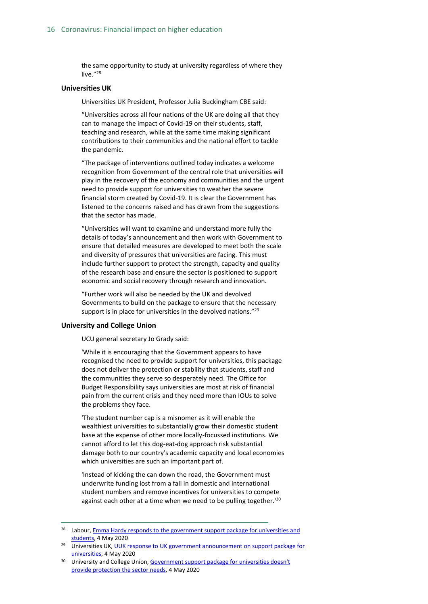the same opportunity to study at university regardless of where they live."<sup>28</sup>

#### **Universities UK**

Universities UK President, Professor Julia Buckingham CBE said:

"Universities across all four nations of the UK are doing all that they can to manage the impact of Covid-19 on their students, staff, teaching and research, while at the same time making significant contributions to their communities and the national effort to tackle the pandemic.

"The package of interventions outlined today indicates a welcome recognition from Government of the central role that universities will play in the recovery of the economy and communities and the urgent need to provide support for universities to weather the severe financial storm created by Covid-19. It is clear the Government has listened to the concerns raised and has drawn from the suggestions that the sector has made.

"Universities will want to examine and understand more fully the details of today's announcement and then work with Government to ensure that detailed measures are developed to meet both the scale and diversity of pressures that universities are facing. This must include further support to protect the strength, capacity and quality of the research base and ensure the sector is positioned to support economic and social recovery through research and innovation.

"Further work will also be needed by the UK and devolved Governments to build on the package to ensure that the necessary support is in place for universities in the devolved nations."<sup>29</sup>

#### **University and College Union**

UCU general secretary Jo Grady said:

'While it is encouraging that the Government appears to have recognised the need to provide support for universities, this package does not deliver the protection or stability that students, staff and the communities they serve so desperately need. The Office for Budget Responsibility says universities are most at risk of financial pain from the current crisis and they need more than IOUs to solve the problems they face.

'The student number cap is a misnomer as it will enable the wealthiest universities to substantially grow their domestic student base at the expense of other more locally-focussed institutions. We cannot afford to let this dog-eat-dog approach risk substantial damage both to our country's academic capacity and local economies which universities are such an important part of.

'Instead of kicking the can down the road, the Government must underwrite funding lost from a fall in domestic and international student numbers and remove incentives for universities to compete against each other at a time when we need to be pulling together.'<sup>30</sup>

<sup>&</sup>lt;sup>28</sup> Labour, *Emma Hardy responds to the government support package for universities and* [students,](https://protect-eu.mimecast.com/s/QZDJC81Q5CgOVZ1ioYZuxu?domain=parliament.us16.list-manage.com) 4 May 2020

<sup>&</sup>lt;sup>29</sup> Universities UK, UUK response to UK government announcement on support package for [universities,](https://protect-eu.mimecast.com/s/chTuC2xK5CQKqJ1C9xtX3z?domain=parliament.us16.list-manage.com) 4 May 2020

<sup>&</sup>lt;sup>30</sup> University and College Union, Government support package for universities doesn't provide [protection the sector needs,](https://protect-eu.mimecast.com/s/02XQC4QM7hxYNQgfVqE6jZ?domain=parliament.us16.list-manage.com) 4 May 2020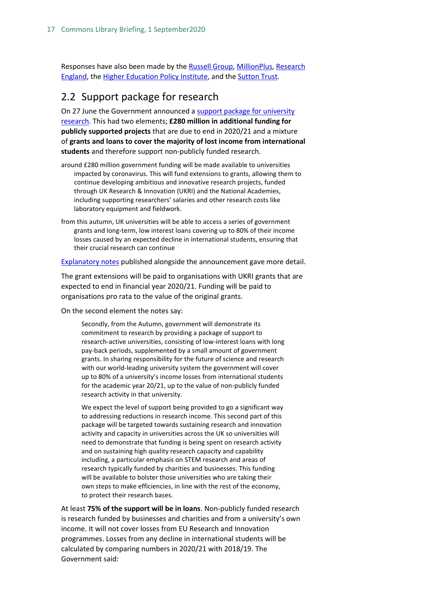Responses have also been made by th[e Russell Group,](https://www.russellgroup.ac.uk/news/russell-group-response-to-government-support-package-for-universities-and-students/?utm_source=R%26I+%28business+communications%29&utm_campaign=2cb94e889e-EMAIL_CAMPAIGN_2019_10_01_02_11_COPY_125&utm_medium=email&utm_term=0_4957411bec-2cb94e889e-102480221&mc_cid=2cb94e889e&mc_eid=ced9d455a1) [MillionPlus,](http://www.millionplus.ac.uk/news/press-releases/millionplus-comment-on-the-government-support-package-for-universities-and-students?utm_source=R%26I+%28business+communications%29&utm_campaign=2cb94e889e-EMAIL_CAMPAIGN_2019_10_01_02_11_COPY_125&utm_medium=email&utm_term=0_4957411bec-2cb94e889e-102480221&mc_cid=2cb94e889e&mc_eid=ced9d455a1) Research [England,](https://re.ukri.org/news-opinions-events/news/accelerated-funding-announced-to-support-institutions/) the [Higher Education Policy Institute,](https://www.hepi.ac.uk/2020/05/04/response-to-the-governments-new-package-of-support-for-higher-education-institutions/?utm_source=R%26I+%28business+communications%29&utm_campaign=2cb94e889e-EMAIL_CAMPAIGN_2019_10_01_02_11_COPY_125&utm_medium=email&utm_term=0_4957411bec-2cb94e889e-102480221&mc_cid=2cb94e889e&mc_eid=ced9d455a1) and the [Sutton Trust.](https://www.suttontrust.com/news-opinion/all-news-opinion/the-sutton-trust-responds-to-the-government-support-package-for-universities-and-students/?utm_source=R%26I+%28business+communications%29&utm_campaign=2cb94e889e-EMAIL_CAMPAIGN_2019_10_01_02_11_COPY_125&utm_medium=email&utm_term=0_4957411bec-2cb94e889e-102480221&mc_cid=2cb94e889e&mc_eid=ced9d455a1)

## <span id="page-16-0"></span>2.2 Support package for research

On 27 June the Government announced a support package for university [research.](https://www.gov.uk/government/publications/support-for-university-research-and-innovation-during-coronavirus-covid-19) This had two elements; **£280 million in additional funding for publicly supported projects** that are due to end in 2020/21 and a mixture of **grants and loans to cover the majority of lost income from international students** and therefore support non-publicly funded research.

- around £280 million government funding will be made available to universities impacted by coronavirus. This will fund extensions to grants, allowing them to continue developing ambitious and innovative research projects, funded through UK Research & Innovation (UKRI) and the National Academies, including supporting researchers' salaries and other research costs like laboratory equipment and fieldwork.
- from this autumn, UK universities will be able to access a series of government grants and long-term, low interest loans covering up to 80% of their income losses caused by an expected decline in international students, ensuring that their crucial research can continue

[Explanatory notes](https://www.gov.uk/government/publications/support-for-university-research-and-innovation-during-coronavirus-covid-19/university-research-support-package-explanatory-notes) published alongside the announcement gave more detail.

The grant extensions will be paid to organisations with UKRI grants that are expected to end in financial year 2020/21. Funding will be paid to organisations pro rata to the value of the original grants.

On the second element the notes say:

Secondly, from the Autumn, government will demonstrate its commitment to research by providing a package of support to research-active universities, consisting of low-interest loans with long pay-back periods, supplemented by a small amount of government grants. In sharing responsibility for the future of science and research with our world-leading university system the government will cover up to 80% of a university's income losses from international students for the academic year 20/21, up to the value of non-publicly funded research activity in that university.

We expect the level of support being provided to go a significant way to addressing reductions in research income. This second part of this package will be targeted towards sustaining research and innovation activity and capacity in universities across the UK so universities will need to demonstrate that funding is being spent on research activity and on sustaining high quality research capacity and capability including, a particular emphasis on STEM research and areas of research typically funded by charities and businesses. This funding will be available to bolster those universities who are taking their own steps to make efficiencies, in line with the rest of the economy, to protect their research bases.

At least **75% of the support will be in loans**. Non-publicly funded research is research funded by businesses and charities and from a university's own income. It will not cover losses from EU Research and Innovation programmes. Losses from any decline in international students will be calculated by comparing numbers in 2020/21 with 2018/19. The Government said: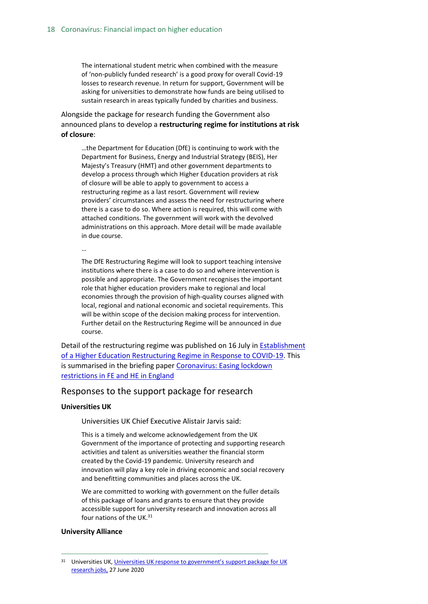The international student metric when combined with the measure of 'non-publicly funded research' is a good proxy for overall Covid-19 losses to research revenue. In return for support, Government will be asking for universities to demonstrate how funds are being utilised to sustain research in areas typically funded by charities and business.

Alongside the package for research funding the Government also announced plans to develop a **restructuring regime for institutions at risk of closure**:

…the Department for Education (DfE) is continuing to work with the Department for Business, Energy and Industrial Strategy (BEIS), Her Majesty's Treasury (HMT) and other government departments to develop a process through which Higher Education providers at risk of closure will be able to apply to government to access a restructuring regime as a last resort. Government will review providers' circumstances and assess the need for restructuring where there is a case to do so. Where action is required, this will come with attached conditions. The government will work with the devolved administrations on this approach. More detail will be made available in due course.

The DfE Restructuring Regime will look to support teaching intensive institutions where there is a case to do so and where intervention is possible and appropriate. The Government recognises the important role that higher education providers make to regional and local economies through the provision of high-quality courses aligned with local, regional and national economic and societal requirements. This will be within scope of the decision making process for intervention. Further detail on the Restructuring Regime will be announced in due course.

Detail of the restructuring regime was published on 16 July i[n Establishment](https://www.gov.uk/government/publications/higher-education-restructuring-regime)  [of a Higher Education Restructuring Regime in Response to COVID-19.](https://www.gov.uk/government/publications/higher-education-restructuring-regime) This is summarised in the briefing paper [Coronavirus: Easing lockdown](https://commonslibrary.parliament.uk/research-briefings/cbp-8932/)  [restrictions in FE and HE in England](https://commonslibrary.parliament.uk/research-briefings/cbp-8932/)

#### Responses to the support package for research

#### **Universities UK**

…

Universities UK Chief Executive Alistair Jarvis said:

This is a timely and welcome acknowledgement from the UK Government of the importance of protecting and supporting research activities and talent as universities weather the financial storm created by the Covid-19 pandemic. University research and innovation will play a key role in driving economic and social recovery and benefitting communities and places across the UK.

We are committed to working with government on the fuller details of this package of loans and grants to ensure that they provide accessible support for university research and innovation across all four nations of the UK.<sup>31</sup>

#### **University Alliance**

<sup>&</sup>lt;sup>31</sup> Universities UK, Universities UK response to government's support package for UK [research jobs,](https://www.universitiesuk.ac.uk/news/Pages/uuk-response-to-government-support-package-for-uk-research-jobs.aspx) 27 June 2020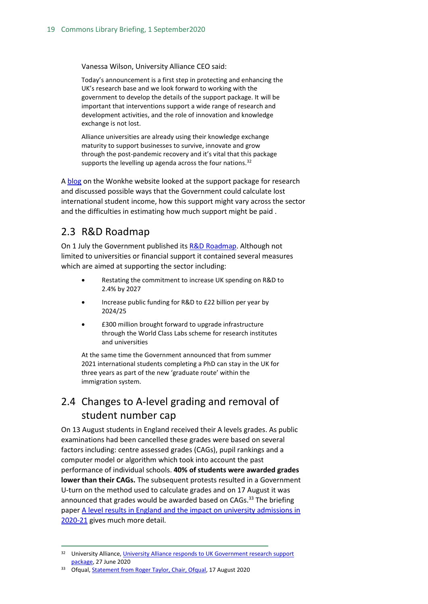Vanessa Wilson, University Alliance CEO said:

Today's announcement is a first step in protecting and enhancing the UK's research base and we look forward to working with the government to develop the details of the support package. It will be important that interventions support a wide range of research and development activities, and the role of innovation and knowledge exchange is not lost.

Alliance universities are already using their knowledge exchange maturity to support businesses to survive, innovate and grow through the post-pandemic recovery and it's vital that this package supports the levelling up agenda across the four nations. $32$ 

A [blog](https://wonkhe.com/blogs/the-bailout-part-ii-new-government-schemes-announced-to-stabilise-university-research/?utm_medium=email&utm_campaign=Wonkhe%20Mondays%20-%2029%20June&utm_content=Wonkhe%20Mondays%20-%2029%20June+CID_638bd234ea013137e07e4f89a12e7ace&utm_source=Email%20marketing%20software&utm_term=takes%20a%20first%20peek) on the Wonkhe website looked at the support package for research and discussed possible ways that the Government could calculate lost international student income, how this support might vary across the sector and the difficulties in estimating how much support might be paid .

## <span id="page-18-0"></span>2.3 R&D Roadmap

On 1 July the Government published it[s R&D Roadmap.](https://www.gov.uk/government/news/government-fires-up-rd-across-the-country-to-cement-the-uk-as-science-superpower) Although not limited to universities or financial support it contained several measures which are aimed at supporting the sector including:

- Restating the commitment to increase UK spending on R&D to 2.4% by 2027
- Increase public funding for R&D to £22 billion per year by 2024/25
- £300 million brought forward to upgrade infrastructure through the World Class Labs scheme for research institutes and universities

At the same time the Government announced that from summer 2021 international students completing a PhD can stay in the UK for three years as part of the new 'graduate route' within the immigration system.

# <span id="page-18-1"></span>2.4 Changes to A-level grading and removal of student number cap

On 13 August students in England received their A levels grades. As public examinations had been cancelled these grades were based on several factors including: centre assessed grades (CAGs), pupil rankings and a computer model or algorithm which took into account the past performance of individual schools. **40% of students were awarded grades lower than their CAGs.** The subsequent protests resulted in a Government U-turn on the method used to calculate grades and on 17 August it was announced that grades would be awarded based on CAGs. $33$  The briefing pape[r A level results in England and the impact on university admissions in](https://commonslibrary.parliament.uk/research-briefings/cbp-8989/)  [2020-21](https://commonslibrary.parliament.uk/research-briefings/cbp-8989/) gives much more detail.

<sup>33</sup> Ofqual[, Statement from Roger Taylor, Chair, Ofqual,](https://www.gov.uk/government/news/statement-from-roger-taylor-chair-ofqual) 17 August 2020

<sup>&</sup>lt;sup>32</sup> University Alliance, University Alliance responds to UK Government research support [package,](https://www.unialliance.ac.uk/2020/06/27/university-alliance-response-to-uk-government-research-support-package/) 27 June 2020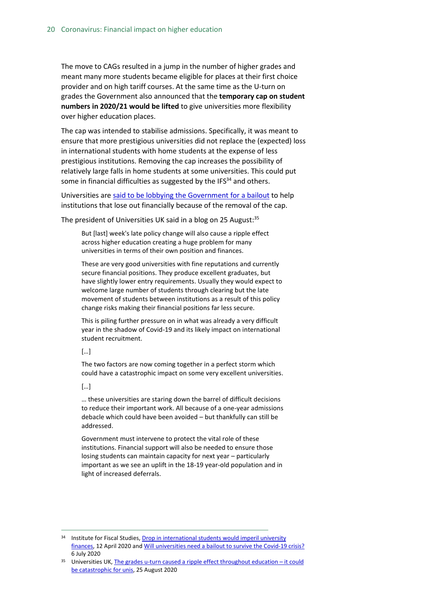The move to CAGs resulted in a jump in the number of higher grades and meant many more students became eligible for places at their first choice provider and on high tariff courses. At the same time as the U-turn on grades the Government also announced that the **temporary cap on student numbers in 2020/21 would be lifted** to give universities more flexibility over higher education places.

The cap was intended to stabilise admissions. Specifically, it was meant to ensure that more prestigious universities did not replace the (expected) loss in international students with home students at the expense of less prestigious institutions. Removing the cap increases the possibility of relatively large falls in home students at some universities. This could put some in financial difficulties as suggested by the  $IFS<sup>34</sup>$  and others.

Universities are said to be lobbying [the Government for a bailout](https://www.timeshighereducation.com/news/english-universities-lobby-bailout-after-levels-fiasco) to help institutions that lose out financially because of the removal of the cap.

The president of Universities UK said in a blog on 25 August: 35

But [last] week's late policy change will also cause a ripple effect across higher education creating a huge problem for many universities in terms of their own position and finances.

These are very good universities with fine reputations and currently secure financial positions. They produce excellent graduates, but have slightly lower entry requirements. Usually they would expect to welcome large number of students through clearing but the late movement of students between institutions as a result of this policy change risks making their financial positions far less secure.

This is piling further pressure on in what was already a very difficult year in the shadow of Covid-19 and its likely impact on international student recruitment.

#### […]

The two factors are now coming together in a perfect storm which could have a catastrophic impact on some very excellent universities.

#### […]

… these universities are staring down the barrel of difficult decisions to reduce their important work. All because of a one-year admissions debacle which could have been avoided – but thankfully can still be addressed.

Government must intervene to protect the vital role of these institutions. Financial support will also be needed to ensure those losing students can maintain capacity for next year – particularly important as we see an uplift in the 18-19 year-old population and in light of increased deferrals.

<sup>34</sup> Institute for Fiscal Studies, Drop in international students would imperil university [finances,](https://www.ifs.org.uk/publications/14805?utm_source=R%26I+%28business+communications%29&utm_campaign=a3c3aa5e92-EMAIL_CAMPAIGN_2019_10_01_02_11_COPY_100&utm_medium=email&utm_term=0_4957411bec-a3c3aa5e92-102480221&mc_cid=a3c3aa5e92&mc_eid=ced9d455a1) 12 April 2020 an[d Will universities need a bailout to survive the Covid-19 crisis?](https://www.ifs.org.uk/publications/14919) 6 July 2020

 $35$  Universities UK, [The grades u-turn caused a ripple effect throughout education](https://www.universitiesuk.ac.uk/blog/Pages/grades-u-turn-ripple-effect-education-could-be-catastrophic-for-unis.aspx) – it could [be catastrophic for unis,](https://www.universitiesuk.ac.uk/blog/Pages/grades-u-turn-ripple-effect-education-could-be-catastrophic-for-unis.aspx) 25 August 2020